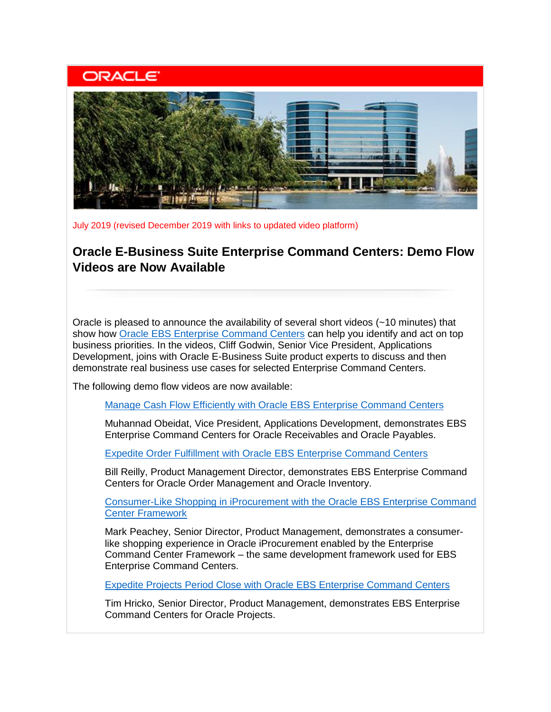## **ORACLE**



July 2019 (revised December 2019 with links to updated video platform)

## **Oracle E-Business Suite Enterprise Command Centers: Demo Flow Videos are Now Available**

Oracle is pleased to announce the availability of several short videos (~10 minutes) that show how [Oracle EBS Enterprise Command Centers](https://learn.oracle.com/ebs-ecc-overview) can help you identify and act on top business priorities. In the videos, Cliff Godwin, Senior Vice President, Applications Development, joins with Oracle E-Business Suite product experts to discuss and then demonstrate real business use cases for selected Enterprise Command Centers.

The following demo flow videos are now available:

[Manage Cash Flow Efficiently with Oracle EBS Enterprise Command Centers](https://learn.oracle.com/ebs-ecc-fin)

Muhannad Obeidat, Vice President, Applications Development, demonstrates EBS Enterprise Command Centers for Oracle Receivables and Oracle Payables.

[Expedite Order Fulfillment with Oracle EBS Enterprise Command Centers](https://learn.oracle.com/ebs-ecc-om-inv)

Bill Reilly, Product Management Director, demonstrates EBS Enterprise Command Centers for Oracle Order Management and Oracle Inventory.

Consumer-Like Shopping in [iProcurement with the Oracle EBS Enterprise Command](https://learn.oracle.com/ebs-ecc-iproc)  [Center Framework](https://learn.oracle.com/ebs-ecc-iproc)

Mark Peachey, Senior Director, Product Management, demonstrates a consumerlike shopping experience in Oracle iProcurement enabled by the Enterprise Command Center Framework – the same development framework used for EBS Enterprise Command Centers.

[Expedite Projects Period Close with Oracle EBS Enterprise Command Centers](https://learn.oracle.com/ebs-ecc-proj)

Tim Hricko, Senior Director, Product Management, demonstrates EBS Enterprise Command Centers for Oracle Projects.